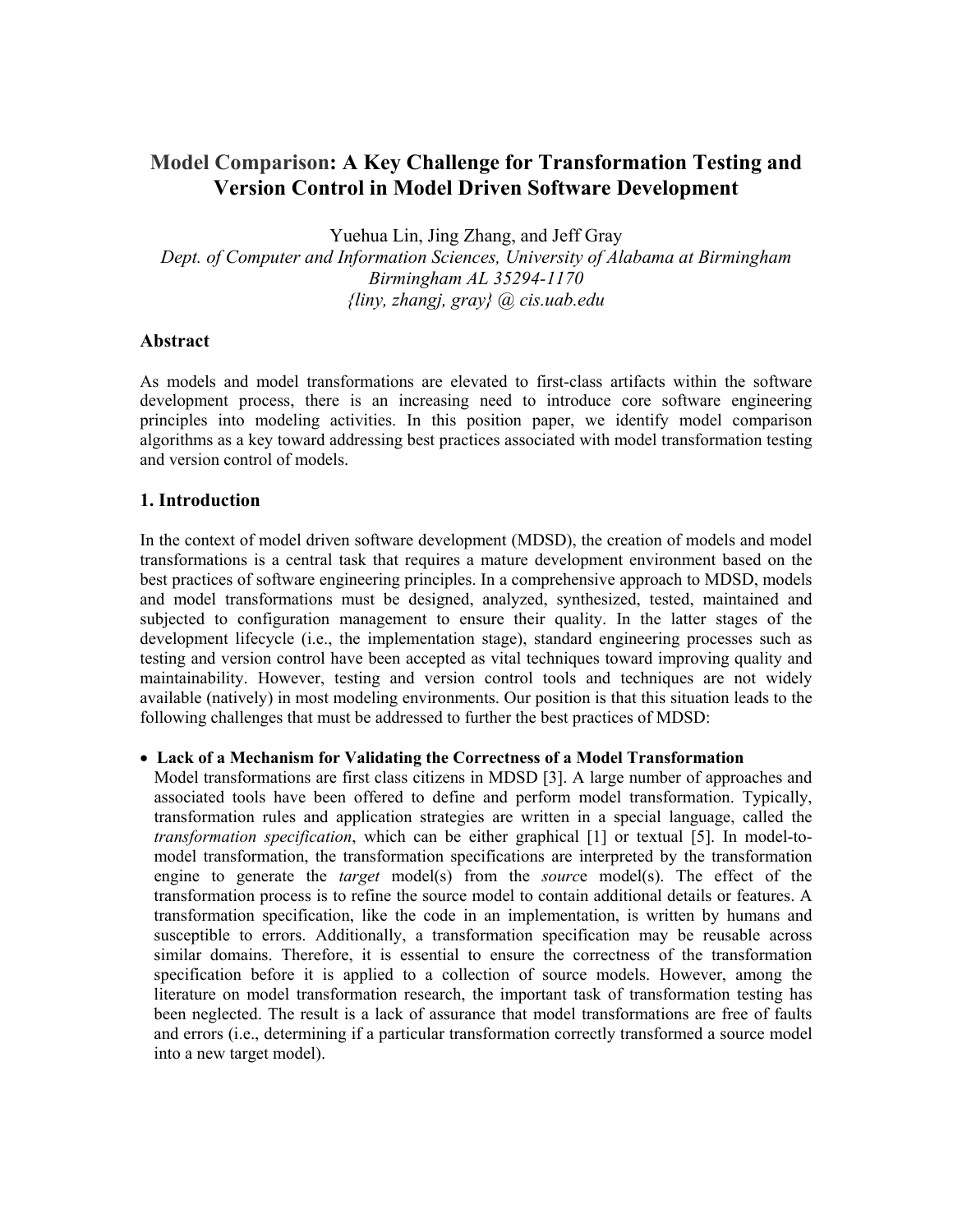# **Model Comparison: A Key Challenge for Transformation Testing and Version Control in Model Driven Software Development**

Yuehua Lin, Jing Zhang, and Jeff Gray

*Dept. of Computer and Information Sciences, University of Alabama at Birmingham Birmingham AL 35294-1170 {liny, zhangj, gray} @ cis.uab.edu* 

#### **Abstract**

As models and model transformations are elevated to first-class artifacts within the software development process, there is an increasing need to introduce core software engineering principles into modeling activities. In this position paper, we identify model comparison algorithms as a key toward addressing best practices associated with model transformation testing and version control of models.

## **1. Introduction**

In the context of model driven software development (MDSD), the creation of models and model transformations is a central task that requires a mature development environment based on the best practices of software engineering principles. In a comprehensive approach to MDSD, models and model transformations must be designed, analyzed, synthesized, tested, maintained and subjected to configuration management to ensure their quality. In the latter stages of the development lifecycle (i.e., the implementation stage), standard engineering processes such as testing and version control have been accepted as vital techniques toward improving quality and maintainability. However, testing and version control tools and techniques are not widely available (natively) in most modeling environments. Our position is that this situation leads to the following challenges that must be addressed to further the best practices of MDSD:

#### • **Lack of a Mechanism for Validating the Correctness of a Model Transformation**

Model transformations are first class citizens in MDSD [3]. A large number of approaches and associated tools have been offered to define and perform model transformation. Typically, transformation rules and application strategies are written in a special language, called the *transformation specification*, which can be either graphical [1] or textual [5]. In model-tomodel transformation, the transformation specifications are interpreted by the transformation engine to generate the *target* model(s) from the *sourc*e model(s). The effect of the transformation process is to refine the source model to contain additional details or features. A transformation specification, like the code in an implementation, is written by humans and susceptible to errors. Additionally, a transformation specification may be reusable across similar domains. Therefore, it is essential to ensure the correctness of the transformation specification before it is applied to a collection of source models. However, among the literature on model transformation research, the important task of transformation testing has been neglected. The result is a lack of assurance that model transformations are free of faults and errors (i.e., determining if a particular transformation correctly transformed a source model into a new target model).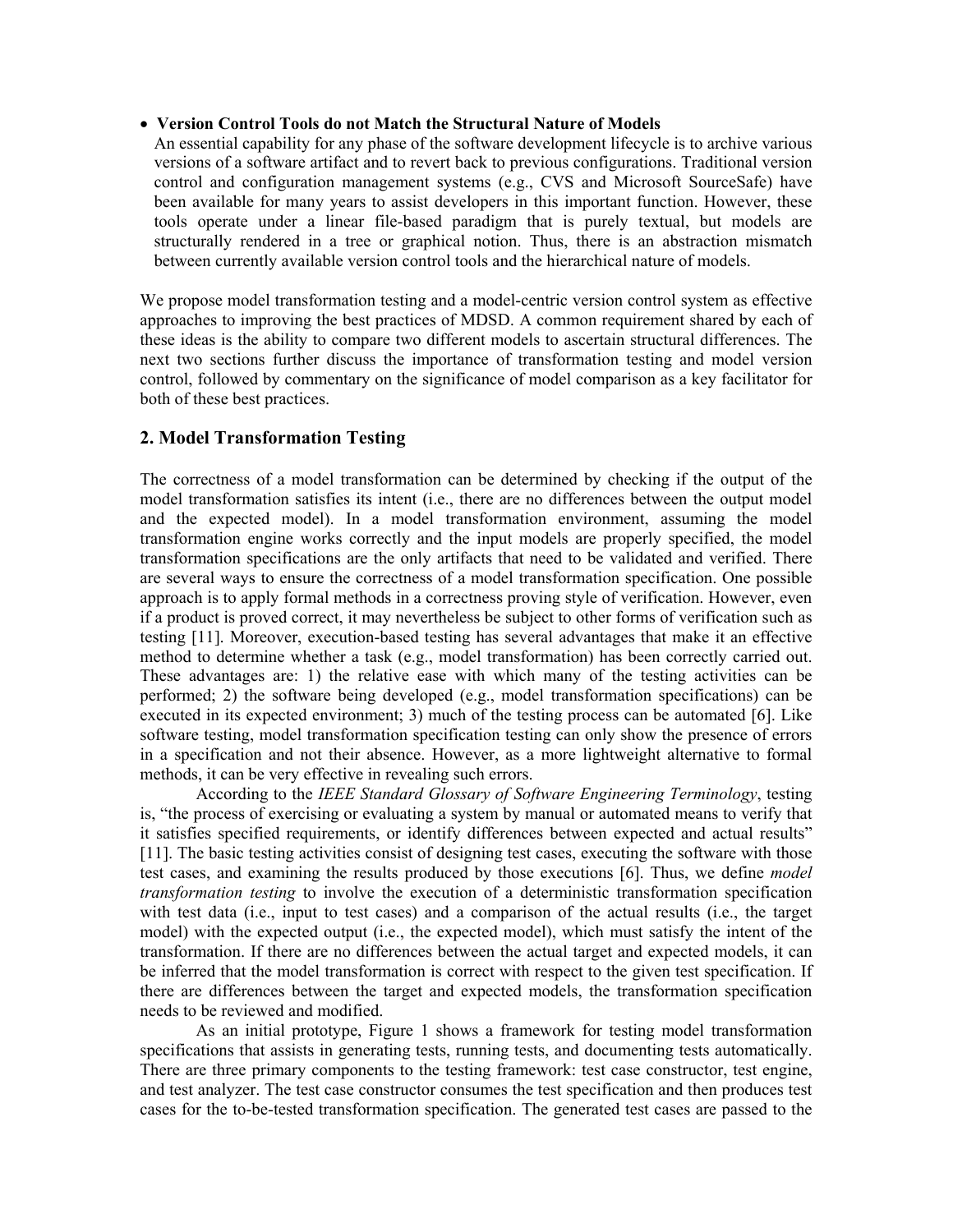#### • **Version Control Tools do not Match the Structural Nature of Models**

An essential capability for any phase of the software development lifecycle is to archive various versions of a software artifact and to revert back to previous configurations. Traditional version control and configuration management systems (e.g., CVS and Microsoft SourceSafe) have been available for many years to assist developers in this important function. However, these tools operate under a linear file-based paradigm that is purely textual, but models are structurally rendered in a tree or graphical notion. Thus, there is an abstraction mismatch between currently available version control tools and the hierarchical nature of models.

We propose model transformation testing and a model-centric version control system as effective approaches to improving the best practices of MDSD. A common requirement shared by each of these ideas is the ability to compare two different models to ascertain structural differences. The next two sections further discuss the importance of transformation testing and model version control, followed by commentary on the significance of model comparison as a key facilitator for both of these best practices.

## **2. Model Transformation Testing**

The correctness of a model transformation can be determined by checking if the output of the model transformation satisfies its intent (i.e., there are no differences between the output model and the expected model). In a model transformation environment, assuming the model transformation engine works correctly and the input models are properly specified, the model transformation specifications are the only artifacts that need to be validated and verified. There are several ways to ensure the correctness of a model transformation specification. One possible approach is to apply formal methods in a correctness proving style of verification. However, even if a product is proved correct, it may nevertheless be subject to other forms of verification such as testing [11]. Moreover, execution-based testing has several advantages that make it an effective method to determine whether a task (e.g., model transformation) has been correctly carried out. These advantages are: 1) the relative ease with which many of the testing activities can be performed; 2) the software being developed (e.g., model transformation specifications) can be executed in its expected environment; 3) much of the testing process can be automated [6]. Like software testing, model transformation specification testing can only show the presence of errors in a specification and not their absence. However, as a more lightweight alternative to formal methods, it can be very effective in revealing such errors.

According to the *IEEE Standard Glossary of Software Engineering Terminology*, testing is, "the process of exercising or evaluating a system by manual or automated means to verify that it satisfies specified requirements, or identify differences between expected and actual results" [11]. The basic testing activities consist of designing test cases, executing the software with those test cases, and examining the results produced by those executions [6]. Thus, we define *model transformation testing* to involve the execution of a deterministic transformation specification with test data (i.e., input to test cases) and a comparison of the actual results (i.e., the target model) with the expected output (i.e., the expected model), which must satisfy the intent of the transformation. If there are no differences between the actual target and expected models, it can be inferred that the model transformation is correct with respect to the given test specification. If there are differences between the target and expected models, the transformation specification needs to be reviewed and modified.

As an initial prototype, Figure 1 shows a framework for testing model transformation specifications that assists in generating tests, running tests, and documenting tests automatically. There are three primary components to the testing framework: test case constructor, test engine, and test analyzer. The test case constructor consumes the test specification and then produces test cases for the to-be-tested transformation specification. The generated test cases are passed to the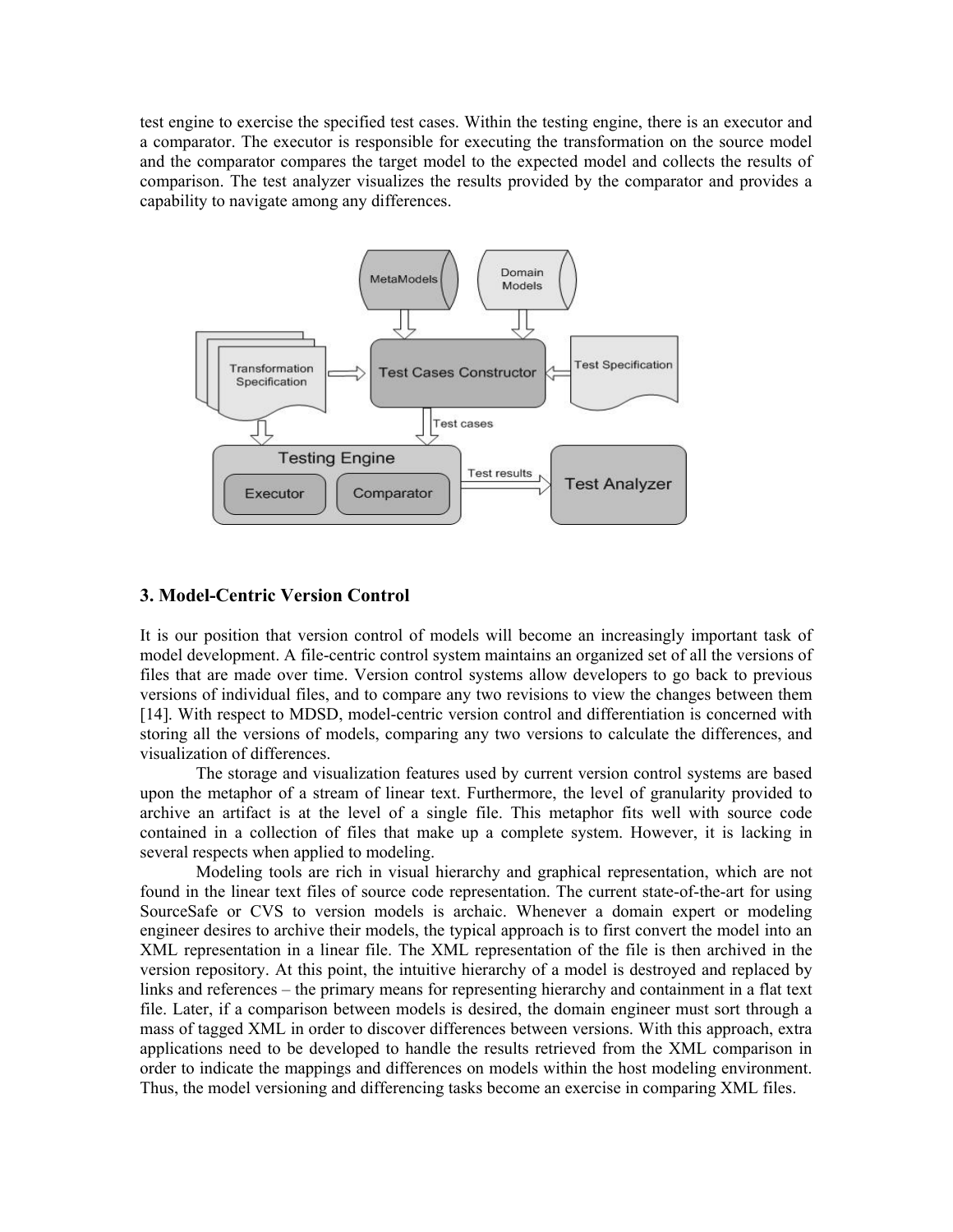test engine to exercise the specified test cases. Within the testing engine, there is an executor and a comparator. The executor is responsible for executing the transformation on the source model and the comparator compares the target model to the expected model and collects the results of comparison. The test analyzer visualizes the results provided by the comparator and provides a capability to navigate among any differences.



#### **3. Model-Centric Version Control**

It is our position that version control of models will become an increasingly important task of model development. A file-centric control system maintains an organized set of all the versions of files that are made over time. Version control systems allow developers to go back to previous versions of individual files, and to compare any two revisions to view the changes between them [14]. With respect to MDSD, model-centric version control and differentiation is concerned with storing all the versions of models, comparing any two versions to calculate the differences, and visualization of differences.

 The storage and visualization features used by current version control systems are based upon the metaphor of a stream of linear text. Furthermore, the level of granularity provided to archive an artifact is at the level of a single file. This metaphor fits well with source code contained in a collection of files that make up a complete system. However, it is lacking in several respects when applied to modeling.

Modeling tools are rich in visual hierarchy and graphical representation, which are not found in the linear text files of source code representation. The current state-of-the-art for using SourceSafe or CVS to version models is archaic. Whenever a domain expert or modeling engineer desires to archive their models, the typical approach is to first convert the model into an XML representation in a linear file. The XML representation of the file is then archived in the version repository. At this point, the intuitive hierarchy of a model is destroyed and replaced by links and references – the primary means for representing hierarchy and containment in a flat text file. Later, if a comparison between models is desired, the domain engineer must sort through a mass of tagged XML in order to discover differences between versions. With this approach, extra applications need to be developed to handle the results retrieved from the XML comparison in order to indicate the mappings and differences on models within the host modeling environment. Thus, the model versioning and differencing tasks become an exercise in comparing XML files.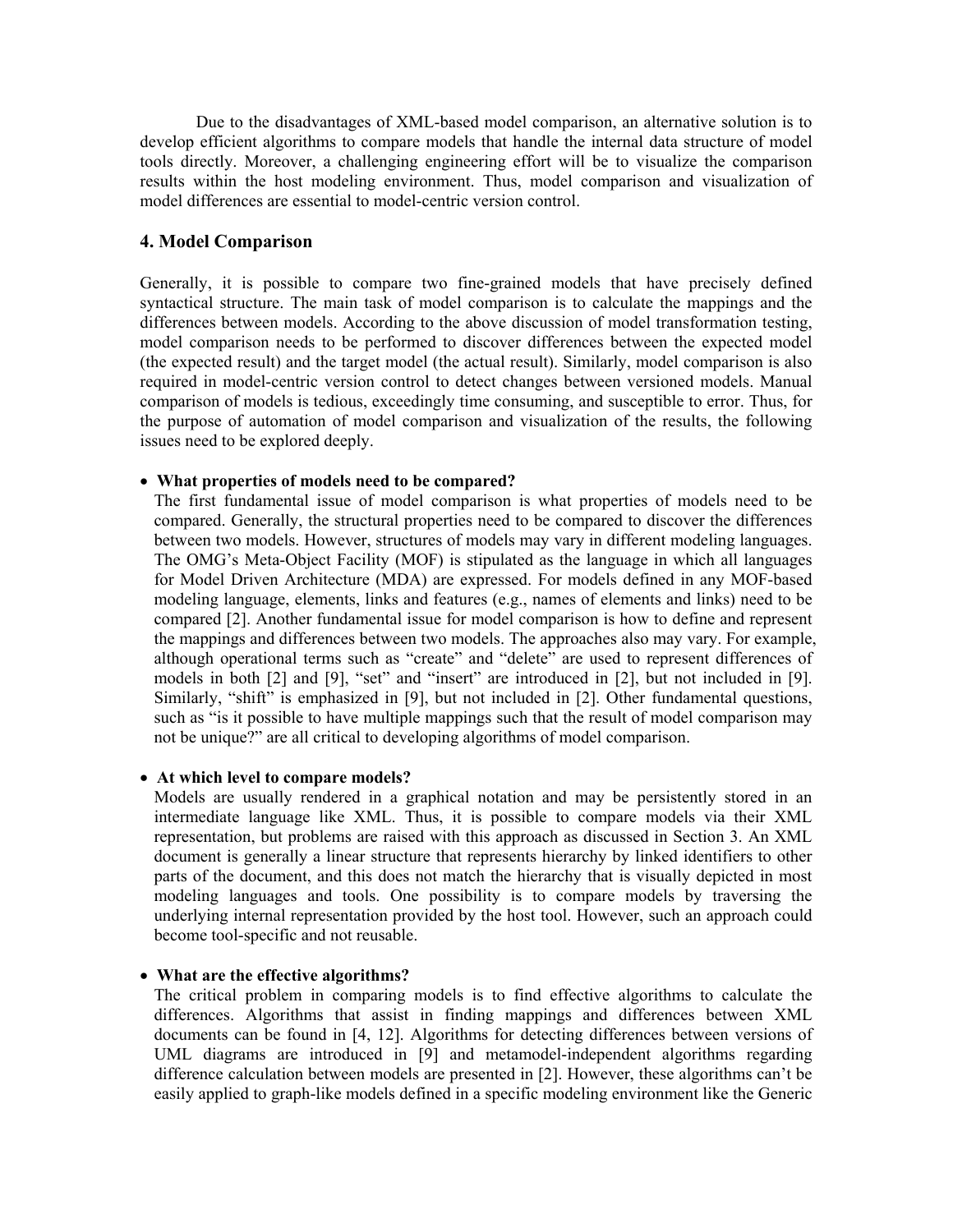Due to the disadvantages of XML-based model comparison, an alternative solution is to develop efficient algorithms to compare models that handle the internal data structure of model tools directly. Moreover, a challenging engineering effort will be to visualize the comparison results within the host modeling environment. Thus, model comparison and visualization of model differences are essential to model-centric version control.

#### **4. Model Comparison**

Generally, it is possible to compare two fine-grained models that have precisely defined syntactical structure. The main task of model comparison is to calculate the mappings and the differences between models. According to the above discussion of model transformation testing, model comparison needs to be performed to discover differences between the expected model (the expected result) and the target model (the actual result). Similarly, model comparison is also required in model-centric version control to detect changes between versioned models. Manual comparison of models is tedious, exceedingly time consuming, and susceptible to error. Thus, for the purpose of automation of model comparison and visualization of the results, the following issues need to be explored deeply.

#### • **What properties of models need to be compared?**

The first fundamental issue of model comparison is what properties of models need to be compared. Generally, the structural properties need to be compared to discover the differences between two models. However, structures of models may vary in different modeling languages. The OMG's Meta-Object Facility (MOF) is stipulated as the language in which all languages for Model Driven Architecture (MDA) are expressed. For models defined in any MOF-based modeling language, elements, links and features (e.g., names of elements and links) need to be compared [2]. Another fundamental issue for model comparison is how to define and represent the mappings and differences between two models. The approaches also may vary. For example, although operational terms such as "create" and "delete" are used to represent differences of models in both [2] and [9], "set" and "insert" are introduced in [2], but not included in [9]. Similarly, "shift" is emphasized in [9], but not included in [2]. Other fundamental questions, such as "is it possible to have multiple mappings such that the result of model comparison may not be unique?" are all critical to developing algorithms of model comparison.

#### • **At which level to compare models?**

Models are usually rendered in a graphical notation and may be persistently stored in an intermediate language like XML. Thus, it is possible to compare models via their XML representation, but problems are raised with this approach as discussed in Section 3. An XML document is generally a linear structure that represents hierarchy by linked identifiers to other parts of the document, and this does not match the hierarchy that is visually depicted in most modeling languages and tools. One possibility is to compare models by traversing the underlying internal representation provided by the host tool. However, such an approach could become tool-specific and not reusable.

#### • **What are the effective algorithms?**

The critical problem in comparing models is to find effective algorithms to calculate the differences. Algorithms that assist in finding mappings and differences between XML documents can be found in [4, 12]. Algorithms for detecting differences between versions of UML diagrams are introduced in [9] and metamodel-independent algorithms regarding difference calculation between models are presented in [2]. However, these algorithms can't be easily applied to graph-like models defined in a specific modeling environment like the Generic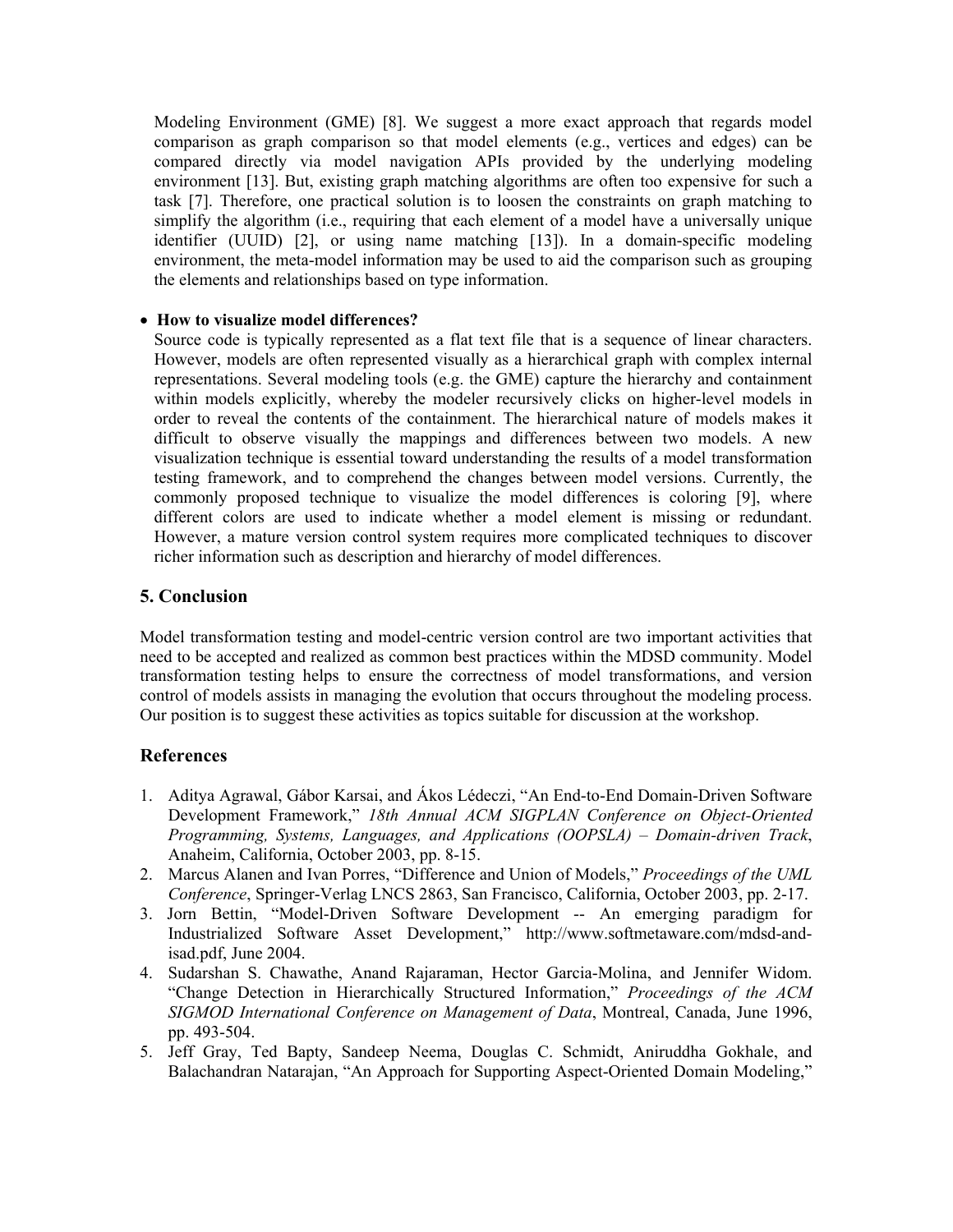Modeling Environment (GME) [8]. We suggest a more exact approach that regards model comparison as graph comparison so that model elements (e.g., vertices and edges) can be compared directly via model navigation APIs provided by the underlying modeling environment [13]. But, existing graph matching algorithms are often too expensive for such a task [7]. Therefore, one practical solution is to loosen the constraints on graph matching to simplify the algorithm (i.e., requiring that each element of a model have a universally unique identifier (UUID) [2], or using name matching [13]). In a domain-specific modeling environment, the meta-model information may be used to aid the comparison such as grouping the elements and relationships based on type information.

#### • **How to visualize model differences?**

Source code is typically represented as a flat text file that is a sequence of linear characters. However, models are often represented visually as a hierarchical graph with complex internal representations. Several modeling tools (e.g. the GME) capture the hierarchy and containment within models explicitly, whereby the modeler recursively clicks on higher-level models in order to reveal the contents of the containment. The hierarchical nature of models makes it difficult to observe visually the mappings and differences between two models. A new visualization technique is essential toward understanding the results of a model transformation testing framework, and to comprehend the changes between model versions. Currently, the commonly proposed technique to visualize the model differences is coloring [9], where different colors are used to indicate whether a model element is missing or redundant. However, a mature version control system requires more complicated techniques to discover richer information such as description and hierarchy of model differences.

## **5. Conclusion**

Model transformation testing and model-centric version control are two important activities that need to be accepted and realized as common best practices within the MDSD community. Model transformation testing helps to ensure the correctness of model transformations, and version control of models assists in managing the evolution that occurs throughout the modeling process. Our position is to suggest these activities as topics suitable for discussion at the workshop.

## **References**

- 1. Aditya Agrawal, Gábor Karsai, and Ákos Lédeczi, "An End-to-End Domain-Driven Software Development Framework," *18th Annual ACM SIGPLAN Conference on Object-Oriented Programming, Systems, Languages, and Applications (OOPSLA) – Domain-driven Track*, Anaheim, California, October 2003, pp. 8-15.
- 2. Marcus Alanen and Ivan Porres, "Difference and Union of Models," *Proceedings of the UML Conference*, Springer-Verlag LNCS 2863, San Francisco, California, October 2003, pp. 2-17.
- 3. Jorn Bettin, "Model-Driven Software Development -- An emerging paradigm for Industrialized Software Asset Development," http://www.softmetaware.com/mdsd-andisad.pdf, June 2004.
- 4. Sudarshan S. Chawathe, Anand Rajaraman, Hector Garcia-Molina, and Jennifer Widom. "Change Detection in Hierarchically Structured Information," *Proceedings of the ACM SIGMOD International Conference on Management of Data*, Montreal, Canada, June 1996, pp. 493-504.
- 5. Jeff Gray, Ted Bapty, Sandeep Neema, Douglas C. Schmidt, Aniruddha Gokhale, and Balachandran Natarajan, "An Approach for Supporting Aspect-Oriented Domain Modeling,"